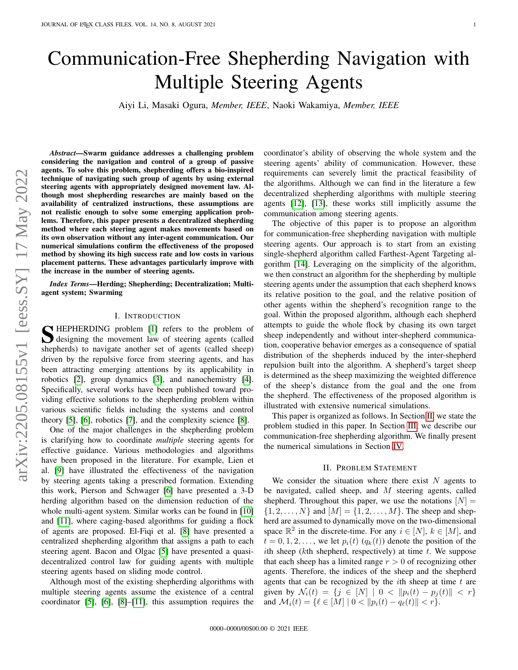# Communication-Free Shepherding Navigation with Multiple Steering Agents

Aiyi Li, Masaki Ogura, *Member, IEEE*, Naoki Wakamiya, *Member, IEEE*

arXiv:2205.08155v1 [eess.SY] 17 May 2022 arXiv:2205.08155v1 [eess.SY] 17 May 2022

*Abstract*—Swarm guidance addresses a challenging problem considering the navigation and control of a group of passive agents. To solve this problem, shepherding offers a bio-inspired technique of navigating such group of agents by using external steering agents with appropriately designed movement law. Although most shepherding researches are mainly based on the availability of centralized instructions, these assumptions are not realistic enough to solve some emerging application problems. Therefore, this paper presents a decentralized shepherding method where each steering agent makes movements based on its own observation without any inter-agent communication. Our numerical simulations confirm the effectiveness of the proposed method by showing its high success rate and low costs in various placement patterns. These advantages particularly improve with the increase in the number of steering agents.

*Index Terms*—Herding; Shepherding; Decentralization; Multiagent system; Swarming

# I. INTRODUCTION

S HEPHERDING problem [\[1\]](#page-3-0) refers to the problem of<br>designing the movement law of steering agents (called<br>character to provide a state of agents (called character) designing the movement law of steering agents (called shepherds) to navigate another set of agents (called sheep) driven by the repulsive force from steering agents, and has been attracting emerging attentions by its applicability in robotics [\[2\]](#page-3-1), group dynamics [\[3\]](#page-3-2), and nanochemistry [\[4\]](#page-3-3). Specifically, several works have been published toward providing effective solutions to the shepherding problem within various scientific fields including the systems and control theory [\[5\]](#page-3-4), [\[6\]](#page-3-5), robotics [\[7\]](#page-3-6), and the complexity science [\[8\]](#page-3-7).

One of the major challenges in the shepherding problem is clarifying how to coordinate *multiple* steering agents for effective guidance. Various methodologies and algorithms have been proposed in the literature. For example, Lien et al. [\[9\]](#page-3-8) have illustrated the effectiveness of the navigation by steering agents taking a prescribed formation. Extending this work, Pierson and Schwager [\[6\]](#page-3-5) have presented a 3-D herding algorithm based on the dimension reduction of the whole multi-agent system. Similar works can be found in [\[10\]](#page-3-9) and [\[11\]](#page-3-10), where caging-based algorithms for guiding a flock of agents are proposed. El-Fiqi et al. [\[8\]](#page-3-7) have presented a centralized shepherding algorithm that assigns a path to each steering agent. Bacon and Olgac [\[5\]](#page-3-4) have presented a quasidecentralized control law for guiding agents with multiple steering agents based on sliding mode control.

Although most of the existing shepherding algorithms with multiple steering agents assume the existence of a central coordinator [\[5\]](#page-3-4), [\[6\]](#page-3-5), [\[8\]](#page-3-7)–[\[11\]](#page-3-10), this assumption requires the coordinator's ability of observing the whole system and the steering agents' ability of communication. However, these requirements can severely limit the practical feasibility of the algorithms. Although we can find in the literature a few decentralized shepherding algorithms with multiple steering agents [\[12\]](#page-3-11), [\[13\]](#page-3-12), these works still implicitly assume the communication among steering agents.

The objective of this paper is to propose an algorithm for communication-free shepherding navigation with multiple steering agents. Our approach is to start from an existing single-shepherd algorithm called Farthest-Agent Targeting algorithm [\[14\]](#page-3-13). Leveraging on the simplicity of the algorithm, we then construct an algorithm for the shepherding by multiple steering agents under the assumption that each shepherd knows its relative position to the goal, and the relative position of other agents within the shepherd's recognition range to the goal. Within the proposed algorithm, although each shepherd attempts to guide the whole flock by chasing its own target sheep independently and without inter-shepherd communication, cooperative behavior emerges as a consequence of spatial distribution of the shepherds induced by the inter-shepherd repulsion built into the algorithm. A shepherd's target sheep is determined as the sheep maximizing the weighted difference of the sheep's distance from the goal and the one from the shepherd. The effectiveness of the proposed algorithm is illustrated with extensive numerical simulations.

This paper is organized as follows. In Section [II,](#page-0-0) we state the problem studied in this paper. In Section [III,](#page-1-0) we describe our communication-free shepherding algorithm. We finally present the numerical simulations in Section [IV.](#page-2-0)

#### II. PROBLEM STATEMENT

<span id="page-0-0"></span>We consider the situation where there exist  $N$  agents to be navigated, called sheep, and M steering agents, called shepherd. Throughout this paper, we use the notations  $[N] =$  $\{1, 2, \ldots, N\}$  and  $[M] = \{1, 2, \ldots, M\}$ . The sheep and shepherd are assumed to dynamically move on the two-dimensional space  $\mathbb{R}^2$  in the discrete-time. For any  $i \in [N]$ ,  $k \in [M]$ , and  $t = 0, 1, 2, \ldots$ , we let  $p_i(t)$   $(q_k(t))$  denote the position of the ith sheep (kth shepherd, respectively) at time t. We suppose that each sheep has a limited range  $r > 0$  of recognizing other agents. Therefore, the indices of the sheep and the shepherd agents that can be recognized by the  $i$ th sheep at time  $t$  are given by  $\mathcal{N}_i(t) = \{j \in [N] \mid 0 < \|p_i(t) - p_j(t)\| < r\}$ and  $\mathcal{M}_i(t) = \{ \ell \in [M] \mid 0 < ||p_i(t) - q_\ell(t)|| < r \}.$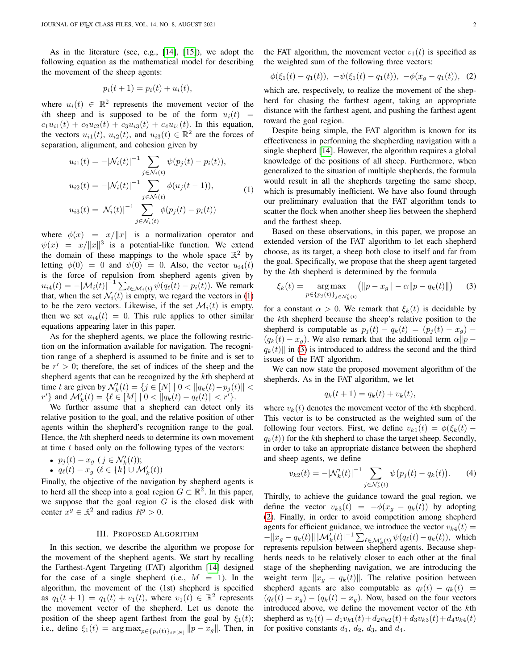As in the literature (see, e.g., [\[14\]](#page-3-13), [\[15\]](#page-3-14)), we adopt the following equation as the mathematical model for describing the movement of the sheep agents:

$$
p_i(t+1) = p_i(t) + u_i(t),
$$

where  $u_i(t) \in \mathbb{R}^2$  represents the movement vector of the ith sheep and is supposed to be of the form  $u_i(t)$  =  $c_1u_{i1}(t) + c_2u_{i2}(t) + c_3u_{i3}(t) + c_4u_{i4}(t)$ . In this equation, the vectors  $u_{i1}(t)$ ,  $u_{i2}(t)$ , and  $u_{i3}(t) \in \mathbb{R}^2$  are the forces of separation, alignment, and cohesion given by

<span id="page-1-1"></span>
$$
u_{i1}(t) = -|\mathcal{N}_i(t)|^{-1} \sum_{j \in \mathcal{N}_i(t)} \psi(p_j(t) - p_i(t)),
$$
  
\n
$$
u_{i2}(t) = -|\mathcal{N}_i(t)|^{-1} \sum_{j \in \mathcal{N}_i(t)} \phi(u_j(t-1)),
$$
  
\n
$$
u_{i3}(t) = |\mathcal{N}_i(t)|^{-1} \sum_{j \in \mathcal{N}_i(t)} \phi(p_j(t) - p_i(t))
$$
\n(1)

where  $\phi(x) = x/||x||$  is a normalization operator and  $\psi(x) = x/||x||^3$  is a potential-like function. We extend the domain of these mappings to the whole space  $\mathbb{R}^2$  by letting  $\phi(0) = 0$  and  $\psi(0) = 0$ . Also, the vector  $u_{i4}(t)$ is the force of repulsion from shepherd agents given by  $u_{i4}(t) = -|\mathcal{M}_i(t)|^{-1} \sum_{\ell \in \mathcal{M}_i(t)} \psi(q_\ell(t) - p_i(t))$ . We remark that, when the set  $\mathcal{N}_i(t)$  is empty, we regard the vectors in [\(1\)](#page-1-1) to be the zero vectors. Likewise, if the set  $\mathcal{M}_i(t)$  is empty, then we set  $u_{i4}(t) = 0$ . This rule applies to other similar equations appearing later in this paper.

As for the shepherd agents, we place the following restriction on the information available for navigation. The recognition range of a shepherd is assumed to be finite and is set to be  $r' > 0$ ; therefore, the set of indices of the sheep and the shepherd agents that can be recognized by the kth shepherd at time t are given by  $\mathcal{N}'_k(t) = \{j \in [N] \mid 0 < ||q_k(t) - p_j(t)|| \le k \}$  $r'$ } and  $\mathcal{M}'_k(t) = \{ \ell \in [M] \mid 0 < ||q_k(t) - q_\ell(t)|| < r' \}.$ 

We further assume that a shepherd can detect only its relative position to the goal, and the relative position of other agents within the shepherd's recognition range to the goal. Hence, the kth shepherd needs to determine its own movement at time  $t$  based only on the following types of the vectors:

• 
$$
p_j(t) - x_g
$$
  $(j \in \mathcal{N}'_k(t));$ 

•  $p_j(v) - x_g$  ( $j \in N_k(v)$ ),<br>•  $q_\ell(t) - x_g$  ( $\ell \in \{k\} \cup \mathcal{M}'_k(t)$ )

Finally, the objective of the navigation by shepherd agents is to herd all the sheep into a goal region  $G \subset \mathbb{R}^2$ . In this paper, we suppose that the goal region  $G$  is the closed disk with center  $x^g \in \mathbb{R}^2$  and radius  $R^g > 0$ .

#### III. PROPOSED ALGORITHM

<span id="page-1-0"></span>In this section, we describe the algorithm we propose for the movement of the shepherd agents. We start by recalling the Farthest-Agent Targeting (FAT) algorithm [\[14\]](#page-3-13) designed for the case of a single shepherd (i.e.,  $M = 1$ ). In the algorithm, the movement of the (1st) shepherd is specified as  $q_1(t+1) = q_1(t) + v_1(t)$ , where  $v_1(t) \in \mathbb{R}^2$  represents the movement vector of the shepherd. Let us denote the position of the sheep agent farthest from the goal by  $\xi_1(t)$ ; i.e., define  $\xi_1(t) = \arg \max_{p \in \{p_i(t)\}_{i \in [N]}} ||p - x_g||$ . Then, in

the FAT algorithm, the movement vector  $v_1(t)$  is specified as the weighted sum of the following three vectors:

<span id="page-1-3"></span>
$$
\phi(\xi_1(t) - q_1(t)), -\psi(\xi_1(t) - q_1(t)), -\phi(x_g - q_1(t)), (2)
$$

which are, respectively, to realize the movement of the shepherd for chasing the farthest agent, taking an appropriate distance with the farthest agent, and pushing the farthest agent toward the goal region.

Despite being simple, the FAT algorithm is known for its effectiveness in performing the shepherding navigation with a single shepherd [\[14\]](#page-3-13). However, the algorithm requires a global knowledge of the positions of all sheep. Furthermore, when generalized to the situation of multiple shepherds, the formula would result in all the shepherds targeting the same sheep, which is presumably inefficient. We have also found through our preliminary evaluation that the FAT algorithm tends to scatter the flock when another sheep lies between the shepherd and the farthest sheep.

Based on these observations, in this paper, we propose an extended version of the FAT algorithm to let each shepherd choose, as its target, a sheep both close to itself and far from the goal. Specifically, we propose that the sheep agent targeted by the kth shepherd is determined by the formula

<span id="page-1-2"></span>
$$
\xi_k(t) = \underset{p \in \{p_j(t)\}_{j \in \mathcal{N}'_k(t)}}{\arg \max} (||p - x_g|| - \alpha ||p - q_k(t)||) \tag{3}
$$

for a constant  $\alpha > 0$ . We remark that  $\xi_k(t)$  is decidable by the kth shepherd because the sheep's relative position to the shepherd is computable as  $p_j(t) - q_k(t) = (p_j(t) - x_q)$  –  $(q_k(t) - x_q)$ . We also remark that the additional term  $\alpha || p - p$  $q_k(t)$  in [\(3\)](#page-1-2) is introduced to address the second and the third issues of the FAT algorithm.

We can now state the proposed movement algorithm of the shepherds. As in the FAT algorithm, we let

$$
q_k(t+1) = q_k(t) + v_k(t),
$$

where  $v_k(t)$  denotes the movement vector of the kth shepherd. This vector is to be constructed as the weighted sum of the following four vectors. First, we define  $v_{k1}(t) = \phi(\xi_k(t))$  $q_k(t)$  for the kth shepherd to chase the target sheep. Secondly, in order to take an appropriate distance between the shepherd and sheep agents, we define

<span id="page-1-4"></span>
$$
v_{k2}(t) = -|\mathcal{N}'_k(t)|^{-1} \sum_{j \in \mathcal{N}'_k(t)} \psi(p_j(t) - q_k(t)). \tag{4}
$$

Thirdly, to achieve the guidance toward the goal region, we define the vector  $v_{k3}(t) = -\phi(x_g - q_k(t))$  by adopting [\(2\)](#page-1-3). Finally, in order to avoid competition among shepherd agents for efficient guidance, we introduce the vector  $v_{k4}(t) =$  $-\|x_{g} - q_{k}(t)\| |\mathcal{M}'_{k}(t)|^{-1} \sum_{\ell \in \mathcal{M}'_{k}(t)} \psi(q_{\ell}(t) - q_{k}(t)),$  which represents repulsion between shepherd agents. Because shepherds needs to be relatively closer to each other at the final stage of the shepherding navigation, we are introducing the weight term  $||x_g - q_k(t)||$ . The relative position between shepherd agents are also computable as  $q_\ell(t) - q_k(t) =$  $(q_{\ell}(t) - x_g) - (q_k(t) - x_g)$ . Now, based on the four vectors introduced above, we define the movement vector of the kth shepherd as  $v_k(t) = d_1v_{k1}(t) + d_2v_{k2}(t) + d_3v_{k3}(t) + d_4v_{k4}(t)$ for positive constants  $d_1$ ,  $d_2$ ,  $d_3$ , and  $d_4$ .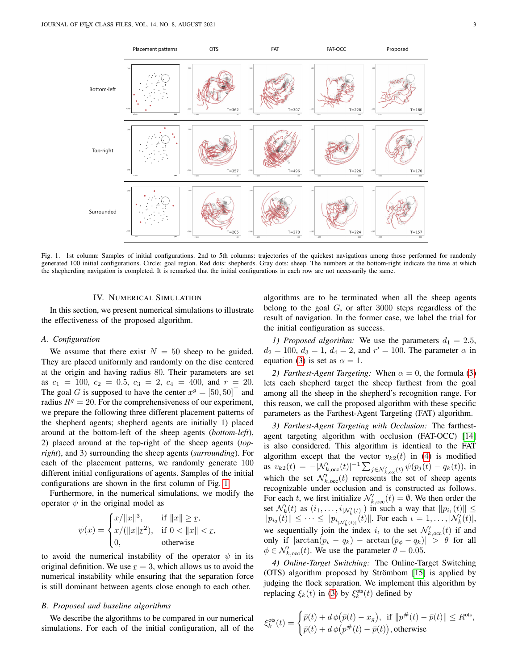

<span id="page-2-1"></span>Fig. 1. 1st column: Samples of initial configurations. 2nd to 5th columns: trajectories of the quickest navigations among those performed for randomly generated 100 initial configurations. Circle: goal region. Red dots: shepherds. Gray dots: sheep. The numbers at the bottom-right indicate the time at which the shepherding navigation is completed. It is remarked that the initial configurations in each row are not necessarily the same.

# IV. NUMERICAL SIMULATION

<span id="page-2-0"></span>In this section, we present numerical simulations to illustrate the effectiveness of the proposed algorithm.

# *A. Configuration*

We assume that there exist  $N = 50$  sheep to be guided. They are placed uniformly and randomly on the disc centered at the origin and having radius 80. Their parameters are set as  $c_1 = 100$ ,  $c_2 = 0.5$ ,  $c_3 = 2$ ,  $c_4 = 400$ , and  $r = 20$ . The goal G is supposed to have the center  $x^g = [50, 50]^\top$  and radius  $R^g = 20$ . For the comprehensiveness of our experiment, we prepare the following three different placement patterns of the shepherd agents; shepherd agents are initially 1) placed around at the bottom-left of the sheep agents (*bottom-left*), 2) placed around at the top-right of the sheep agents (*topright*), and 3) surrounding the sheep agents (*surrounding*). For each of the placement patterns, we randomly generate 100 different initial configurations of agents. Samples of the initial configurations are shown in the first column of Fig. [1.](#page-2-1)

Furthermore, in the numerical simulations, we modify the operator  $\psi$  in the original model as

$$
\psi(x) = \begin{cases} x/\|x\|^3, & \text{if } \|x\| \ge r, \\ x/(\|x\| \underline{r}^2), & \text{if } 0 < \|x\| < r, \\ 0, & \text{otherwise} \end{cases}
$$

to avoid the numerical instability of the operator  $\psi$  in its original definition. We use  $r = 3$ , which allows us to avoid the numerical instability while ensuring that the separation force is still dominant between agents close enough to each other.

# *B. Proposed and baseline algorithms*

We describe the algorithms to be compared in our numerical simulations. For each of the initial configuration, all of the

algorithms are to be terminated when all the sheep agents belong to the goal  $G$ , or after 3000 steps regardless of the result of navigation. In the former case, we label the trial for the initial configuration as success.

*1) Proposed algorithm:* We use the parameters  $d_1 = 2.5$ ,  $d_2 = 100$ ,  $d_3 = 1$ ,  $d_4 = 2$ , and  $r' = 100$ . The parameter  $\alpha$  in equation [\(3\)](#page-1-2) is set as  $\alpha = 1$ .

*2) Farthest-Agent Targeting:* When  $\alpha = 0$ , the formula [\(3\)](#page-1-2) lets each shepherd target the sheep farthest from the goal among all the sheep in the shepherd's recognition range. For this reason, we call the proposed algorithm with these specific parameters as the Farthest-Agent Targeting (FAT) algorithm.

*3) Farthest-Agent Targeting with Occlusion:* The farthestagent targeting algorithm with occlusion (FAT-OCC) [\[14\]](#page-3-13) is also considered. This algorithm is identical to the FAT algorithm except that the vector  $v_{k2}(t)$  in [\(4\)](#page-1-4) is modified as  $v_{k2}(t) = -|\mathcal{N}'_{k,occ}(t)|^{-1} \sum_{j \in \mathcal{N}'_{k,occ}(t)} \psi(p_j(t) - q_k(t)),$  in which the set  $\mathcal{N}'_{k,occ}(t)$  represents the set of sheep agents recognizable under occlusion and is constructed as follows. For each t, we first initialize  $\mathcal{N}'_{k,occ}(t) = \emptyset$ . We then order the set  $\mathcal{N}'_k(t)$  as  $(i_1, \ldots, i_{|\mathcal{N}'_k(t)|})$  in such a way that  $||p_{i_1}(t)|| \le$  $||p_{i_2}(t)|| \leq \cdots \leq ||p_{i_{|N'_{k}(t)|}}(t)||$ . For each  $\iota = 1, \ldots, |\mathcal{N}'_{k}(t)|$ , we sequentially join the index  $i_k$  to the set  $\mathcal{N}'_{k,occ}(t)$  if and only if  $|\arctan(p_i - q_k) - \arctan(p_\phi - q_k)| > \theta$  for all  $\phi \in \mathcal{N}'_{k, \text{occ}}(t)$ . We use the parameter  $\theta = 0.05$ .

*4) Online-Target Switching:* The Online-Target Switching (OTS) algorithm proposed by Strömbom  $[15]$  is applied by judging the flock separation. We implement this algorithm by replacing  $\xi_k(t)$  in [\(3\)](#page-1-2) by  $\xi_k^{\text{ots}}(t)$  defined by

$$
\xi_k^{\text{ots}}(t) = \begin{cases} \bar{p}(t) + d\,\phi(\bar{p}(t) - x_g), & \text{if } \|p^\#(t) - \bar{p}(t)\| \le R^{\text{ots}}, \\ \bar{p}(t) + d\,\phi(p^\#(t) - \bar{p}(t)), & \text{otherwise} \end{cases}
$$